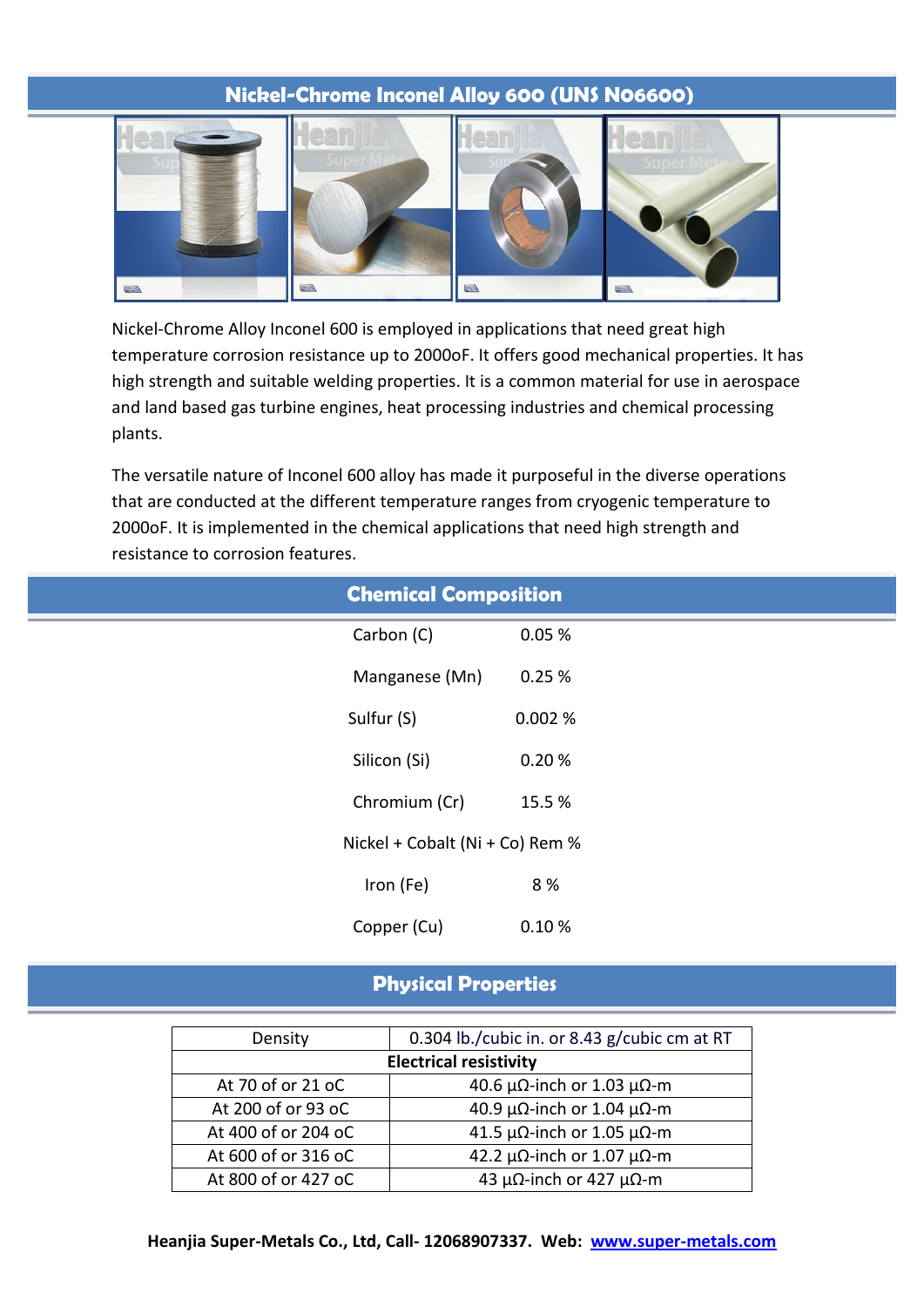# **Nickel-Chrome Inconel Alloy 600 (UNS N06600)**



Nickel-Chrome Alloy Inconel 600 is employed in applications that need great high temperature corrosion resistance up to 2000oF. It offers good mechanical properties. It has high strength and suitable welding properties. It is a common material for use in aerospace and land based gas turbine engines, heat processing industries and chemical processing plants.

The versatile nature of Inconel 600 alloy has made it purposeful in the diverse operations that are conducted at the different temperature ranges from cryogenic temperature to 2000oF. It is implemented in the chemical applications that need high strength and resistance to corrosion features.

|              | <b>Chemical Composition</b>     |        |
|--------------|---------------------------------|--------|
| Carbon (C)   |                                 | 0.05%  |
|              | Manganese (Mn)                  | 0.25%  |
| Sulfur (S)   |                                 | 0.002% |
| Silicon (Si) |                                 | 0.20%  |
|              | Chromium (Cr)                   | 15.5 % |
|              | Nickel + Cobalt (Ni + Co) Rem % |        |
| Iron (Fe)    |                                 | 8 %    |
| Copper (Cu)  |                                 | 0.10%  |
|              |                                 |        |

# **Physical Properties**

| Density                       | 0.304 lb./cubic in. or 8.43 g/cubic cm at RT  |  |  |  |  |  |
|-------------------------------|-----------------------------------------------|--|--|--|--|--|
| <b>Electrical resistivity</b> |                                               |  |  |  |  |  |
| At 70 of or 21 oC             | 40.6 $\mu\Omega$ -inch or 1.03 $\mu\Omega$ -m |  |  |  |  |  |
| At 200 of or 93 oC            | 40.9 μΩ-inch or 1.04 μΩ-m                     |  |  |  |  |  |
| At 400 of or 204 oC           | 41.5 $\mu\Omega$ -inch or 1.05 $\mu\Omega$ -m |  |  |  |  |  |
| At 600 of or 316 oC           | 42.2 $\mu\Omega$ -inch or 1.07 $\mu\Omega$ -m |  |  |  |  |  |
| At 800 of or 427 oC           | 43 μΩ-inch or 427 μΩ-m                        |  |  |  |  |  |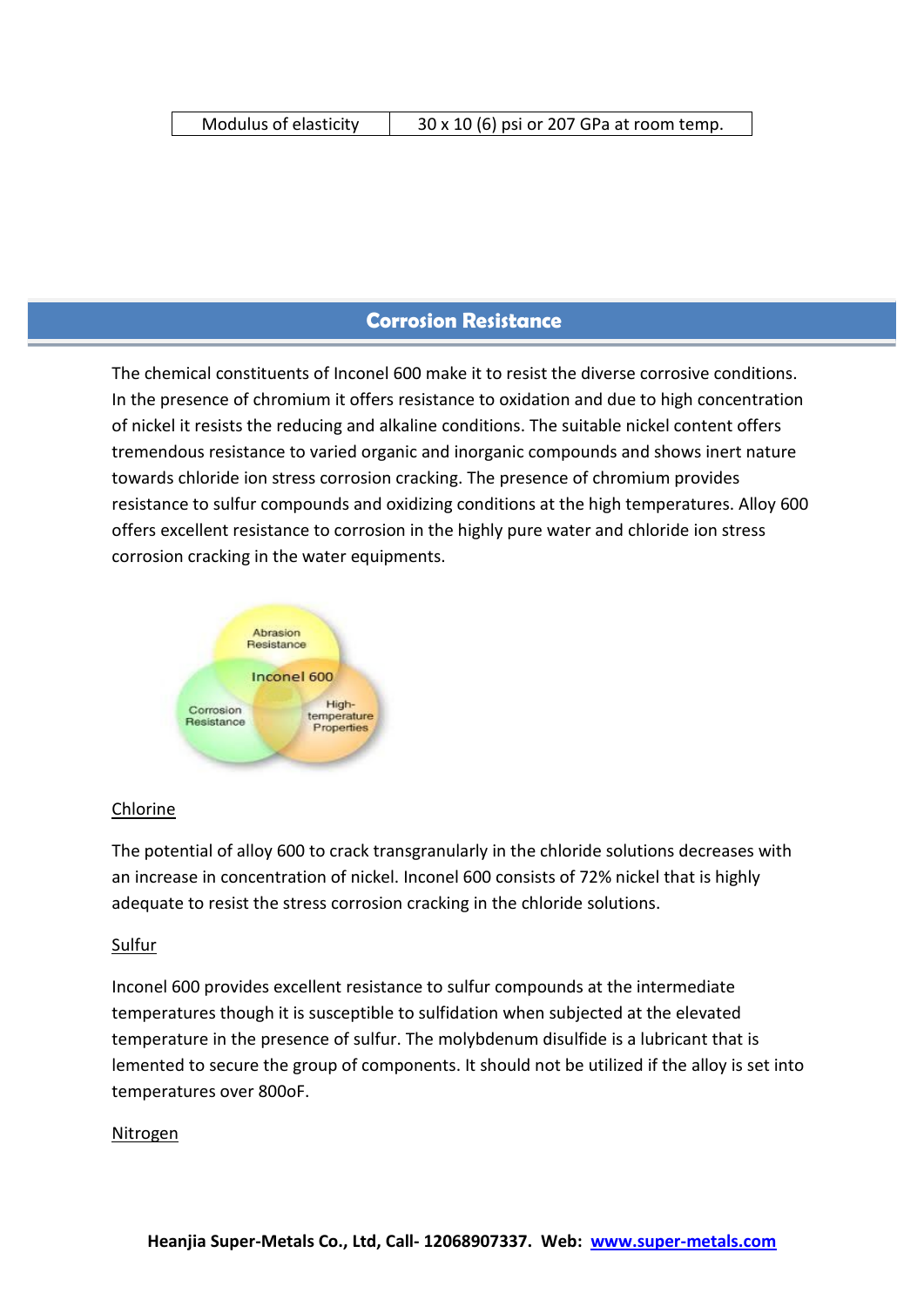# **Corrosion Resistance**

The chemical constituents of Inconel 600 make it to resist the diverse corrosive conditions. In the presence of chromium it offers resistance to oxidation and due to high concentration of nickel it resists the reducing and alkaline conditions. The suitable nickel content offers tremendous resistance to varied organic and inorganic compounds and shows inert nature towards chloride ion stress corrosion cracking. The presence of chromium provides resistance to sulfur compounds and oxidizing conditions at the high temperatures. Alloy 600 offers excellent resistance to corrosion in the highly pure water and chloride ion stress corrosion cracking in the water equipments.



#### Chlorine

The potential of alloy 600 to crack transgranularly in the chloride solutions decreases with an increase in concentration of nickel. Inconel 600 consists of 72% nickel that is highly adequate to resist the stress corrosion cracking in the chloride solutions.

#### Sulfur

Inconel 600 provides excellent resistance to sulfur compounds at the intermediate temperatures though it is susceptible to sulfidation when subjected at the elevated temperature in the presence of sulfur. The molybdenum disulfide is a lubricant that is lemented to secure the group of components. It should not be utilized if the alloy is set into temperatures over 800oF.

#### Nitrogen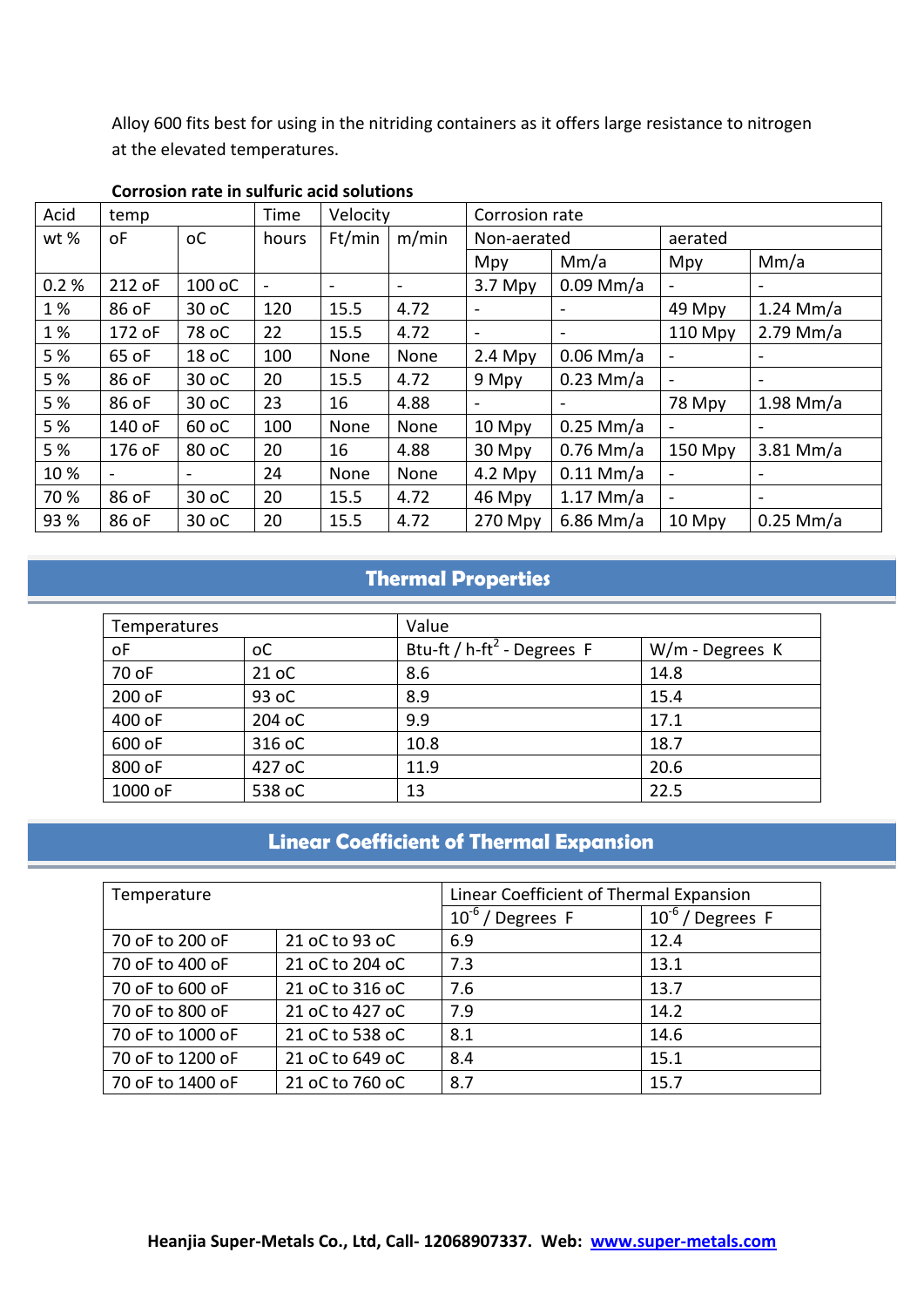Alloy 600 fits best for using in the nitriding containers as it offers large resistance to nitrogen at the elevated temperatures.

| Acid | temp   |                | Time                     |        | Velocity                 |                          | Corrosion rate |                              |                              |  |  |
|------|--------|----------------|--------------------------|--------|--------------------------|--------------------------|----------------|------------------------------|------------------------------|--|--|
| wt % | οF     | <sub>o</sub> C | hours                    | Ft/min | m/min                    | Non-aerated              |                | aerated                      |                              |  |  |
|      |        |                |                          |        |                          | Mpy                      | Mm/a           | Mpy                          | Mm/a                         |  |  |
| 0.2% | 212 oF | 100 oC         | $\overline{\phantom{a}}$ | $\sim$ | $\overline{\phantom{a}}$ | $3.7$ Mpy                | $0.09$ Mm/a    | $\qquad \qquad \blacksquare$ | $\blacksquare$               |  |  |
| 1%   | 86 oF  | 30 oC          | 120                      | 15.5   | 4.72                     |                          |                | 49 Mpy                       | $1.24$ Mm/a                  |  |  |
| 1%   | 172 oF | 78 oC          | 22                       | 15.5   | 4.72                     |                          |                | 110 Mpy                      | $2.79$ Mm/a                  |  |  |
| 5 %  | 65 oF  | 18 oC          | 100                      | None   | None                     | $0.06$ Mm/a<br>$2.4$ Mpy |                | $\blacksquare$               |                              |  |  |
| 5 %  | 86 oF  | 30 oC          | 20                       | 15.5   | 4.72                     | 9 Mpy                    | $0.23$ Mm/a    | $\qquad \qquad \blacksquare$ | $\qquad \qquad \blacksquare$ |  |  |
| 5 %  | 86 oF  | 30 oC          | 23                       | 16     | 4.88                     |                          |                | 78 Mpy                       | $1.98$ Mm/a                  |  |  |
| 5 %  | 140 oF | 60 oC          | 100                      | None   | None                     | 10 Mpy                   | $0.25$ Mm/a    |                              |                              |  |  |
| 5 %  | 176 oF | 80 oC          | 20                       | 16     | 4.88                     | 30 Mpy                   | $0.76$ Mm/a    | 150 Mpy                      | $3.81$ Mm/a                  |  |  |
| 10%  |        |                | 24                       | None   | None                     | $4.2$ Mpy                | $0.11$ Mm/a    |                              |                              |  |  |
| 70 % | 86 oF  | 30 oC          | 20                       | 15.5   | 4.72                     | 46 Mpy                   | $1.17$ Mm/a    | $\overline{a}$               | $\sim$                       |  |  |
| 93 % | 86 oF  | 30 oC          | 20                       | 15.5   | 4.72                     | 270 Mpy                  | $6.86$ Mm/a    | 10 Mpy                       | $0.25$ Mm/a                  |  |  |

#### **Corrosion rate in sulfuric acid solutions**

# **Thermal Properties**

| Temperatures |                | Value                                     |                 |  |  |  |
|--------------|----------------|-------------------------------------------|-----------------|--|--|--|
| οF           | <sub>o</sub> C | Btu-ft / $h$ -ft <sup>2</sup> - Degrees F | W/m - Degrees K |  |  |  |
| 70 oF        | 21 oC          | 8.6                                       | 14.8            |  |  |  |
| 200 oF       | 93 oC          | 8.9                                       | 15.4            |  |  |  |
| 400 oF       | 204 oC         | 9.9                                       | 17.1            |  |  |  |
| 600 oF       | 316 oC         | 10.8                                      | 18.7            |  |  |  |
| 800 oF       | 427 oC         | 11.9                                      | 20.6            |  |  |  |
| 1000 oF      | 538 oC         | 13                                        | 22.5            |  |  |  |

# **Linear Coefficient of Thermal Expansion**

| Temperature      |                 | Linear Coefficient of Thermal Expansion |                          |  |  |  |
|------------------|-----------------|-----------------------------------------|--------------------------|--|--|--|
|                  |                 | $10^{-6}$ / Degrees F                   | $10^{-6}$<br>/ Degrees F |  |  |  |
| 70 oF to 200 oF  | 21 oC to 93 oC  | 6.9                                     | 12.4                     |  |  |  |
| 70 oF to 400 oF  | 21 oC to 204 oC | 7.3                                     | 13.1                     |  |  |  |
| 70 oF to 600 oF  | 21 oC to 316 oC | 7.6                                     | 13.7                     |  |  |  |
| 70 oF to 800 oF  | 21 oC to 427 oC | 7.9                                     | 14.2                     |  |  |  |
| 70 oF to 1000 oF | 21 oC to 538 oC | 8.1                                     | 14.6                     |  |  |  |
| 70 oF to 1200 oF | 21 oC to 649 oC | 8.4                                     | 15.1                     |  |  |  |
| 70 oF to 1400 oF | 21 oC to 760 oC | 8.7                                     | 15.7                     |  |  |  |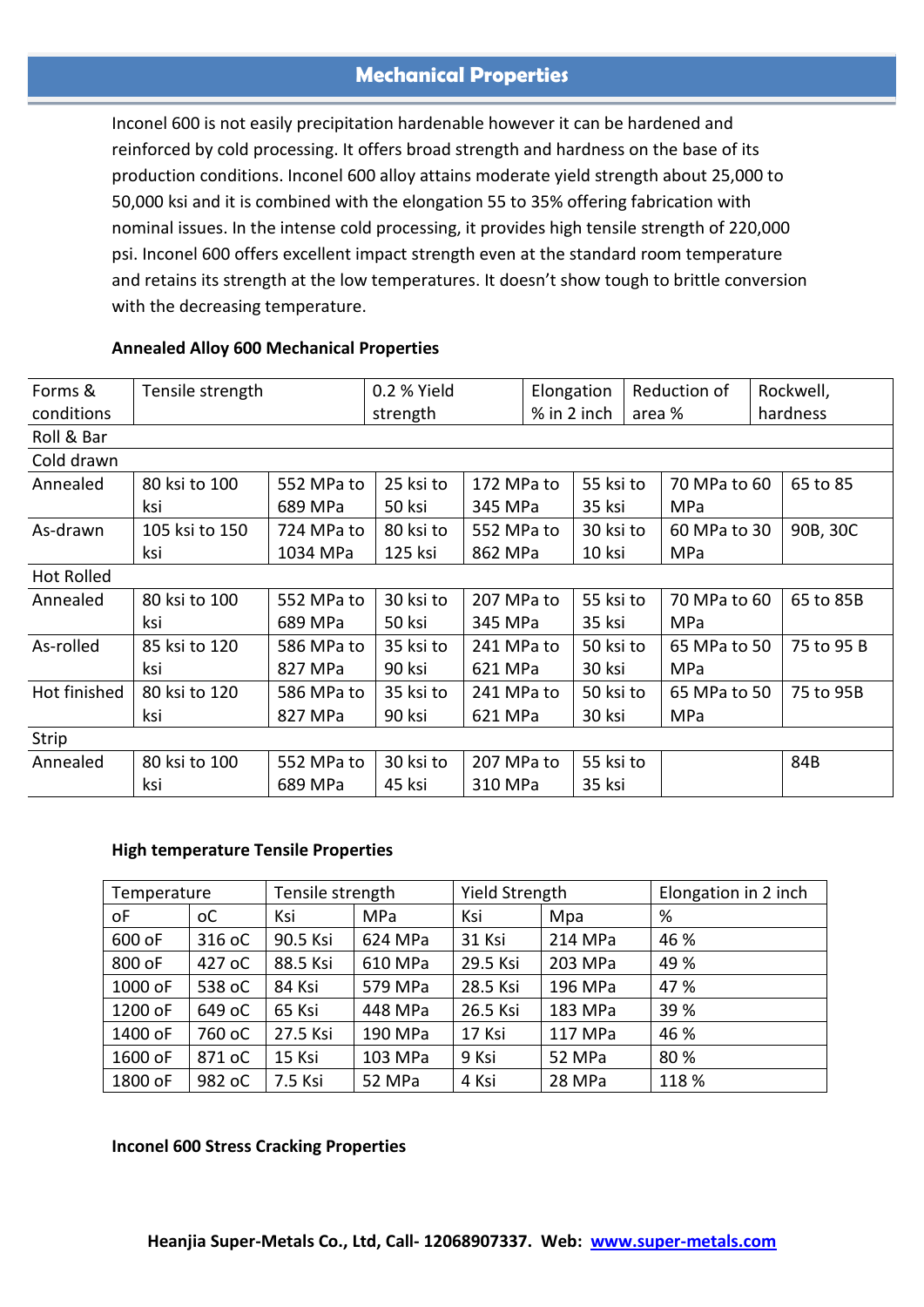## **Mechanical Properties**

Inconel 600 is not easily precipitation hardenable however it can be hardened and reinforced by cold processing. It offers broad strength and hardness on the base of its production conditions. Inconel 600 alloy attains moderate yield strength about 25,000 to 50,000 ksi and it is combined with the elongation 55 to 35% offering fabrication with nominal issues. In the intense cold processing, it provides high tensile strength of 220,000 psi. Inconel 600 offers excellent impact strength even at the standard room temperature and retains its strength at the low temperatures. It doesn't show tough to brittle conversion with the decreasing temperature.

| Forms &           | Tensile strength |            | 0.2 % Yield |            | Elongation |                       |  | Reduction of |  | Rockwell,  |
|-------------------|------------------|------------|-------------|------------|------------|-----------------------|--|--------------|--|------------|
| conditions        |                  |            | strength    |            |            | % in 2 inch<br>area % |  |              |  | hardness   |
| Roll & Bar        |                  |            |             |            |            |                       |  |              |  |            |
| Cold drawn        |                  |            |             |            |            |                       |  |              |  |            |
| Annealed          | 80 ksi to 100    | 552 MPa to | 25 ksi to   | 172 MPa to |            | 55 ksi to             |  | 70 MPa to 60 |  | 65 to 85   |
|                   | ksi              | 689 MPa    | 50 ksi      | 345 MPa    |            | 35 ksi                |  | MPa          |  |            |
| As-drawn          | 105 ksi to 150   | 724 MPa to | 80 ksi to   | 552 MPa to |            | 30 ksi to             |  | 60 MPa to 30 |  | 90B, 30C   |
|                   | ksi              | 1034 MPa   | 125 ksi     | 862 MPa    |            | 10 ksi                |  | MPa          |  |            |
| <b>Hot Rolled</b> |                  |            |             |            |            |                       |  |              |  |            |
| Annealed          | 80 ksi to 100    | 552 MPa to | 30 ksi to   | 207 MPa to |            | 55 ksi to             |  | 70 MPa to 60 |  | 65 to 85B  |
|                   | ksi              | 689 MPa    | 50 ksi      | 345 MPa    |            | 35 ksi                |  | MPa          |  |            |
| As-rolled         | 85 ksi to 120    | 586 MPa to | 35 ksi to   | 241 MPa to |            | 50 ksi to             |  | 65 MPa to 50 |  | 75 to 95 B |
|                   | ksi              | 827 MPa    | 90 ksi      | 621 MPa    |            | 30 ksi                |  | MPa          |  |            |
| Hot finished      | 80 ksi to 120    | 586 MPa to | 35 ksi to   | 241 MPa to |            | 50 ksi to             |  | 65 MPa to 50 |  | 75 to 95B  |
|                   | ksi              | 827 MPa    | 90 ksi      | 621 MPa    |            | 30 ksi                |  | MPa          |  |            |
| Strip             |                  |            |             |            |            |                       |  |              |  |            |
| Annealed          | 80 ksi to 100    | 552 MPa to | 30 ksi to   | 207 MPa to |            | 55 ksi to             |  |              |  | 84B        |
|                   | ksi              | 689 MPa    | 45 ksi      | 310 MPa    |            | 35 ksi                |  |              |  |            |
|                   |                  |            |             |            |            |                       |  |              |  |            |

#### **Annealed Alloy 600 Mechanical Properties**

#### **High temperature Tensile Properties**

| Temperature |        | Tensile strength |         | Yield Strength |         | Elongation in 2 inch |
|-------------|--------|------------------|---------|----------------|---------|----------------------|
| οF          | оC     | Ksi              | MPa     | Ksi            | Mpa     | %                    |
| 600 oF      | 316 oC | 90.5 Ksi         | 624 MPa | 31 Ksi         | 214 MPa | 46 %                 |
| 800 oF      | 427 oC | 88.5 Ksi         | 610 MPa | 29.5 Ksi       | 203 MPa | 49 %                 |
| 1000 oF     | 538 oC | 84 Ksi           | 579 MPa | 28.5 Ksi       | 196 MPa | 47 %                 |
| 1200 oF     | 649 oC | 65 Ksi           | 448 MPa | 26.5 Ksi       | 183 MPa | 39 %                 |
| 1400 oF     | 760 oC | 27.5 Ksi         | 190 MPa | 17 Ksi         | 117 MPa | 46 %                 |
| 1600 oF     | 871 oC | 15 Ksi           | 103 MPa | 9 Ksi          | 52 MPa  | 80%                  |
| 1800 oF     | 982 oC | 7.5 Ksi          | 52 MPa  | 4 Ksi          | 28 MPa  | 118 %                |

#### **Inconel 600 Stress Cracking Properties**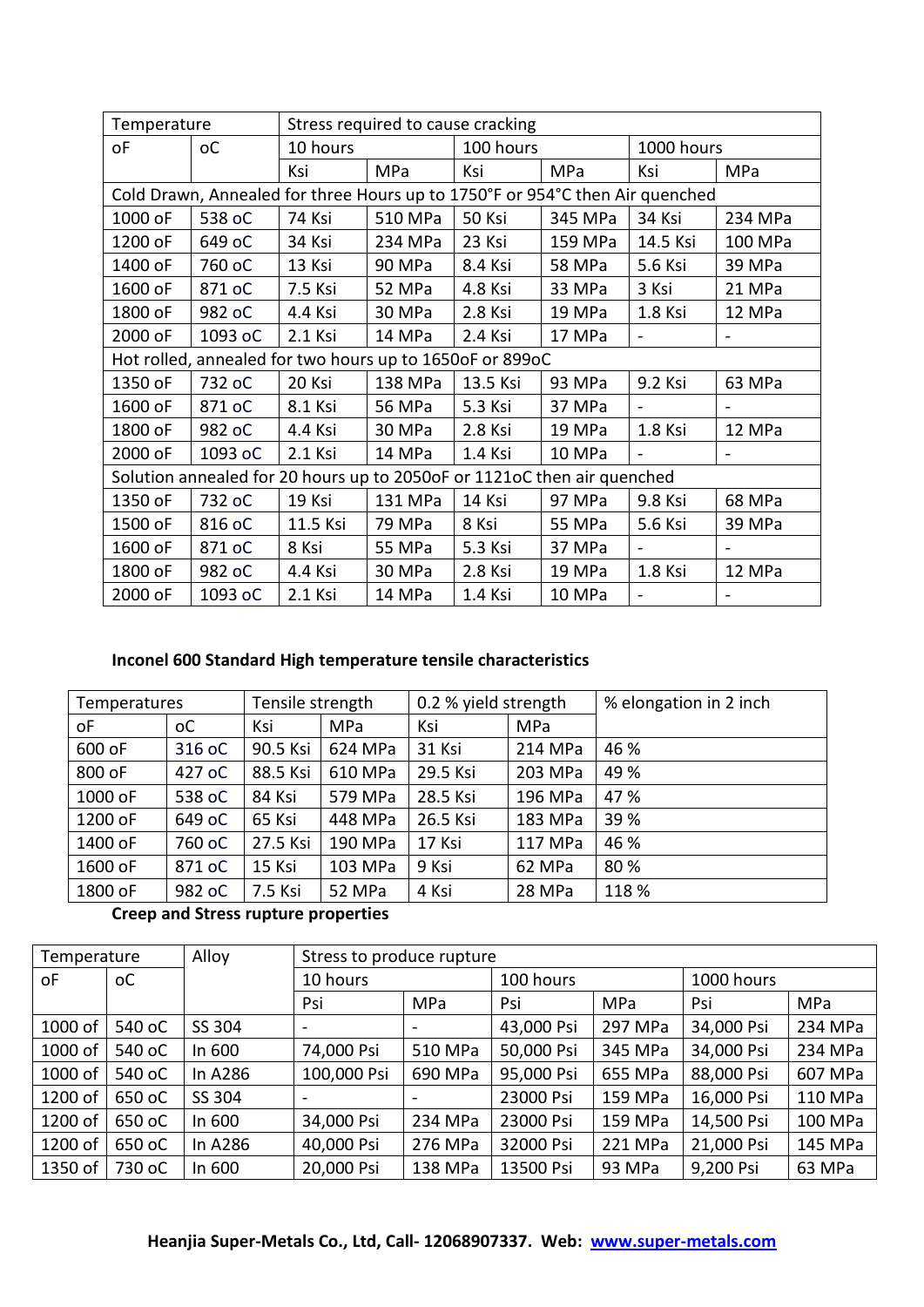| Stress required to cause cracking<br>Temperature |                                                                              |          |         |           |         |            |         |
|--------------------------------------------------|------------------------------------------------------------------------------|----------|---------|-----------|---------|------------|---------|
| οF                                               | оC                                                                           | 10 hours |         | 100 hours |         | 1000 hours |         |
|                                                  |                                                                              | Ksi      | MPa     | Ksi       | MPa     | Ksi        | MPa     |
|                                                  | Cold Drawn, Annealed for three Hours up to 1750°F or 954°C then Air quenched |          |         |           |         |            |         |
| 1000 oF                                          | 538 oC                                                                       | 74 Ksi   | 510 MPa | 50 Ksi    | 345 MPa | 34 Ksi     | 234 MPa |
| 1200 oF                                          | 649 oC                                                                       | 34 Ksi   | 234 MPa | 23 Ksi    | 159 MPa | 14.5 Ksi   | 100 MPa |
| 1400 oF                                          | 760 oC                                                                       | 13 Ksi   | 90 MPa  | 8.4 Ksi   | 58 MPa  | 5.6 Ksi    | 39 MPa  |
| 1600 oF                                          | 871 oC                                                                       | 7.5 Ksi  | 52 MPa  | 4.8 Ksi   | 33 MPa  | 3 Ksi      | 21 MPa  |
| 1800 oF                                          | 982 oC                                                                       | 4.4 Ksi  | 30 MPa  | 2.8 Ksi   | 19 MPa  | 1.8 Ksi    | 12 MPa  |
| 2000 oF                                          | 1093 oC                                                                      | 2.1 Ksi  | 14 MPa  | 2.4 Ksi   | 17 MPa  |            |         |
|                                                  | Hot rolled, annealed for two hours up to 1650oF or 899oC                     |          |         |           |         |            |         |
| 1350 oF                                          | 732 oC                                                                       | 20 Ksi   | 138 MPa | 13.5 Ksi  | 93 MPa  | 9.2 Ksi    | 63 MPa  |
| 1600 oF                                          | 871 oC                                                                       | 8.1 Ksi  | 56 MPa  | 5.3 Ksi   | 37 MPa  |            |         |
| 1800 oF                                          | 982 oC                                                                       | 4.4 Ksi  | 30 MPa  | 2.8 Ksi   | 19 MPa  | 1.8 Ksi    | 12 MPa  |
| 2000 oF                                          | 1093 oC                                                                      | 2.1 Ksi  | 14 MPa  | 1.4 Ksi   | 10 MPa  |            |         |
|                                                  | Solution annealed for 20 hours up to 2050oF or 1121oC then air quenched      |          |         |           |         |            |         |
| 1350 oF                                          | 732 oC                                                                       | 19 Ksi   | 131 MPa | 14 Ksi    | 97 MPa  | 9.8 Ksi    | 68 MPa  |
| 1500 oF                                          | 816 oC                                                                       | 11.5 Ksi | 79 MPa  | 8 Ksi     | 55 MPa  | 5.6 Ksi    | 39 MPa  |
| 1600 oF                                          | 871 oC                                                                       | 8 Ksi    | 55 MPa  | 5.3 Ksi   | 37 MPa  |            |         |
| 1800 oF                                          | 982 oC                                                                       | 4.4 Ksi  | 30 MPa  | 2.8 Ksi   | 19 MPa  | 1.8 Ksi    | 12 MPa  |
| 2000 oF                                          | 1093 oC                                                                      | 2.1 Ksi  | 14 MPa  | 1.4 Ksi   | 10 MPa  |            |         |

### **Inconel 600 Standard High temperature tensile characteristics**

| <b>Temperatures</b> |                | Tensile strength |            | 0.2 % yield strength |            | % elongation in 2 inch |
|---------------------|----------------|------------------|------------|----------------------|------------|------------------------|
| οF                  | <sub>o</sub> C | Ksi              | <b>MPa</b> | Ksi                  | <b>MPa</b> |                        |
| 600 oF              | 316 oC         | 90.5 Ksi         | 624 MPa    | 31 Ksi               | 214 MPa    | 46 %                   |
| 800 oF              | 427 oC         | 88.5 Ksi         | 610 MPa    | 29.5 Ksi             | 203 MPa    | 49 %                   |
| 1000 oF             | 538 oC         | 84 Ksi           | 579 MPa    | 28.5 Ksi             | 196 MPa    | 47 %                   |
| 1200 oF             | 649 oC         | 65 Ksi           | 448 MPa    | 26.5 Ksi             | 183 MPa    | 39 %                   |
| 1400 oF             | 760 oC         | 27.5 Ksi         | 190 MPa    | 17 Ksi               | 117 MPa    | 46 %                   |
| 1600 oF             | 871 oC         | 15 Ksi           | 103 MPa    | 9 Ksi                | 62 MPa     | 80%                    |
| 1800 oF             | 982 oC         | 7.5 Ksi          | 52 MPa     | 4 Ksi                | 28 MPa     | 118 %                  |

# **Creep and Stress rupture properties**

| Temperature |                | Alloy   | Stress to produce rupture |         |            |            |            |         |
|-------------|----------------|---------|---------------------------|---------|------------|------------|------------|---------|
| οF          | <sub>o</sub> c |         | 10 hours                  |         | 100 hours  |            | 1000 hours |         |
|             |                |         | Psi                       | MPa     | Psi        | <b>MPa</b> | Psi        | MPa     |
| 1000 of     | 540 oC         | SS 304  | $\overline{\phantom{a}}$  |         | 43,000 Psi | 297 MPa    | 34,000 Psi | 234 MPa |
| 1000 of     | 540 oC         | In 600  | 74,000 Psi                | 510 MPa | 50,000 Psi | 345 MPa    | 34,000 Psi | 234 MPa |
| 1000 of     | 540 oC         | In A286 | 100,000 Psi               | 690 MPa | 95,000 Psi | 655 MPa    | 88,000 Psi | 607 MPa |
| 1200 of     | 650 oC         | SS 304  | $\overline{\phantom{a}}$  |         | 23000 Psi  | 159 MPa    | 16,000 Psi | 110 MPa |
| 1200 of     | 650 oC         | In 600  | 34,000 Psi                | 234 MPa | 23000 Psi  | 159 MPa    | 14,500 Psi | 100 MPa |
| 1200 of     | 650 oC         | In A286 | 40,000 Psi                | 276 MPa | 32000 Psi  | 221 MPa    | 21,000 Psi | 145 MPa |
| 1350 of     | 730 oC         | In 600  | 20,000 Psi                | 138 MPa | 13500 Psi  | 93 MPa     | 9,200 Psi  | 63 MPa  |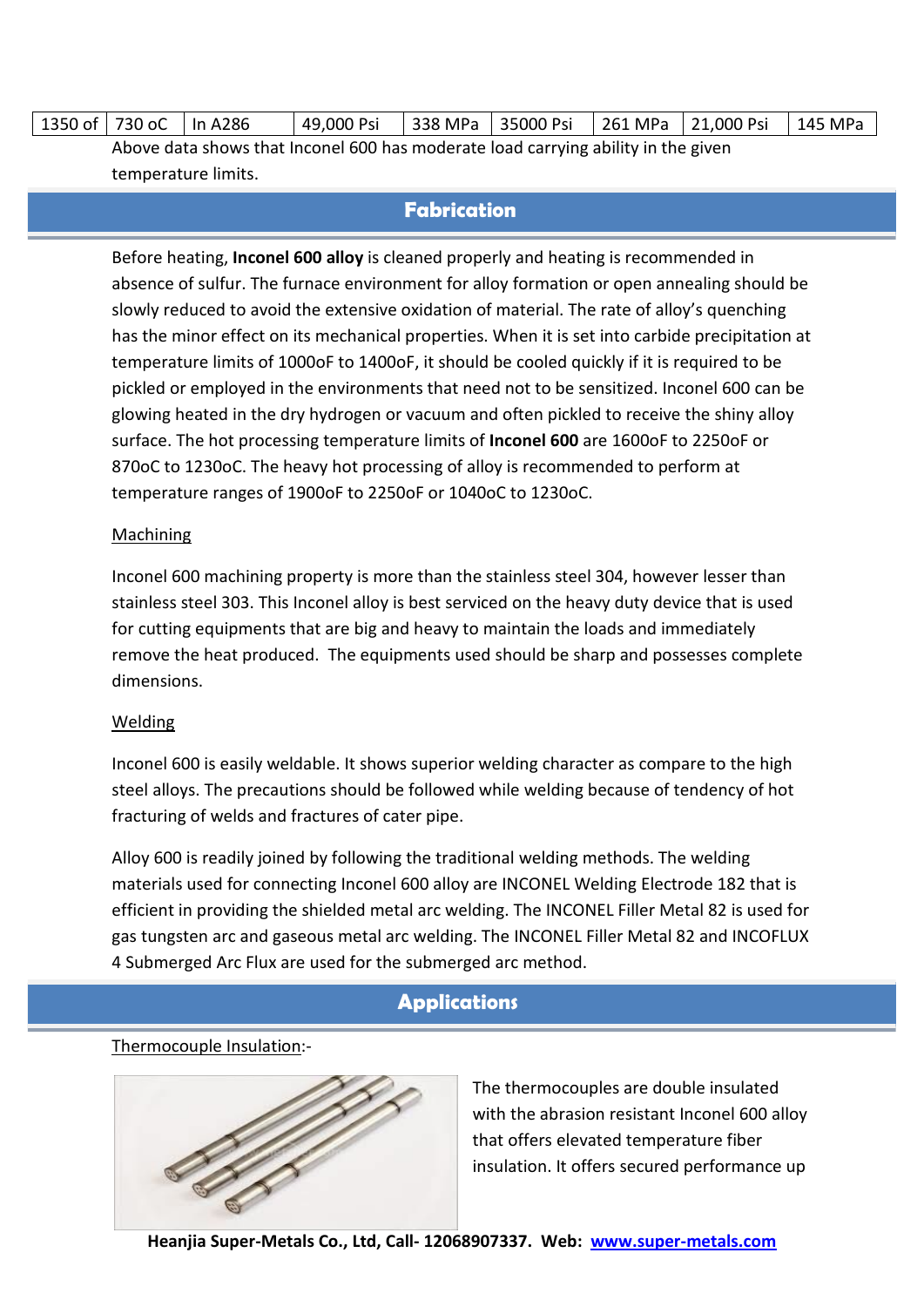| 1350 of   730 oC | In A286                                                                           | 49,000 Psi | 338 MPa   35000 Psi | 261 MPa   21,000 Psi | 145 MPa |
|------------------|-----------------------------------------------------------------------------------|------------|---------------------|----------------------|---------|
|                  | Above data shows that Inconel 600 has moderate load carrying ability in the given |            |                     |                      |         |
|                  | temperature limits.                                                               |            |                     |                      |         |

### **Fabrication**

Before heating, **Inconel 600 alloy** is cleaned properly and heating is recommended in absence of sulfur. The furnace environment for alloy formation or open annealing should be slowly reduced to avoid the extensive oxidation of material. The rate of alloy's quenching has the minor effect on its mechanical properties. When it is set into carbide precipitation at temperature limits of 1000oF to 1400oF, it should be cooled quickly if it is required to be pickled or employed in the environments that need not to be sensitized. Inconel 600 can be glowing heated in the dry hydrogen or vacuum and often pickled to receive the shiny alloy surface. The hot processing temperature limits of **Inconel 600** are 1600oF to 2250oF or 870oC to 1230oC. The heavy hot processing of alloy is recommended to perform at temperature ranges of 1900oF to 2250oF or 1040oC to 1230oC.

#### **Machining**

Inconel 600 machining property is more than the stainless steel 304, however lesser than stainless steel 303. This Inconel alloy is best serviced on the heavy duty device that is used for cutting equipments that are big and heavy to maintain the loads and immediately remove the heat produced. The equipments used should be sharp and possesses complete dimensions.

#### Welding

Inconel 600 is easily weldable. It shows superior welding character as compare to the high steel alloys. The precautions should be followed while welding because of tendency of hot fracturing of welds and fractures of cater pipe.

Alloy 600 is readily joined by following the traditional welding methods. The welding materials used for connecting Inconel 600 alloy are INCONEL Welding Electrode 182 that is efficient in providing the shielded metal arc welding. The INCONEL Filler Metal 82 is used for gas tungsten arc and gaseous metal arc welding. The INCONEL Filler Metal 82 and INCOFLUX 4 Submerged Arc Flux are used for the submerged arc method.

#### **Applications**

#### Thermocouple Insulation:-



The thermocouples are double insulated with the abrasion resistant Inconel 600 alloy that offers elevated temperature fiber insulation. It offers secured performance up